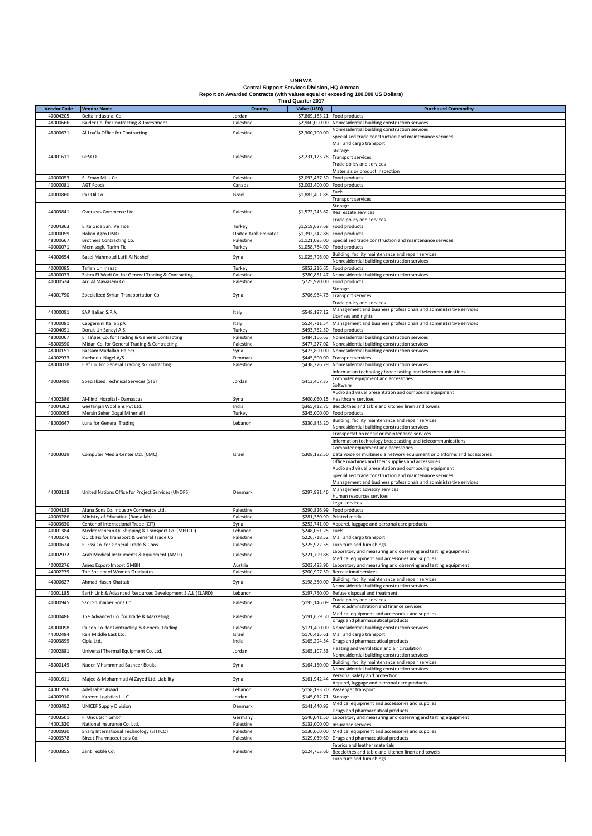| <b>UNRWA</b>                                                                    |
|---------------------------------------------------------------------------------|
| <b>Central Support Services Division. HQ Amman</b>                              |
| Report on Awarded Contracts (with values equal or exceeding 100,000 US Dollars) |
| <b>Third Quarter 2017</b>                                                       |

|                    |                                                           |                      | <b>Third Quarter 2017</b>    |                                                                                      |
|--------------------|-----------------------------------------------------------|----------------------|------------------------------|--------------------------------------------------------------------------------------|
| <b>Vendor Code</b> | <b>Vendor Name</b>                                        | <b>Country</b>       | Value (USD)                  | <b>Purchased Commodity</b>                                                           |
| 40004205           | Delta Industrial Co.                                      | Jordan               | \$7,869,183.21 Food products |                                                                                      |
| 48000666           | Baider Co. for Contracting & Investment                   | Palestine            |                              | \$2,960,000.00 Nonresidential building construction services                         |
|                    |                                                           |                      |                              | Nonresidential building construction services                                        |
| 48000671           | Al-Loa'la Office for Contracting                          | Palestine            | \$2,300,700.00               | Specialized trade construction and maintenance services                              |
|                    |                                                           |                      |                              |                                                                                      |
|                    |                                                           |                      |                              | Mail and cargo transport                                                             |
|                    |                                                           |                      |                              | Storage                                                                              |
| 44001611           | GESCO                                                     | Palestine            |                              | \$2,231,123.78 Transport services                                                    |
|                    |                                                           |                      |                              | Trade policy and services                                                            |
|                    |                                                           |                      |                              | Materials or product inspection                                                      |
| 40000053           | El-Eman Mills Co.                                         | Palestine            |                              | \$2,093,437.50 Food products                                                         |
|                    |                                                           |                      |                              |                                                                                      |
| 40000081           | <b>AGT Foods</b>                                          | Canada               |                              | \$2,003,400.00 Food products                                                         |
| 40000860           | Paz Oil Co.                                               | Israel               | \$1,882,401.85               | Fuels                                                                                |
|                    |                                                           |                      |                              | Transport services                                                                   |
|                    |                                                           |                      |                              | Storage                                                                              |
| 44003841           | Overseas Commerce Ltd.                                    | Palestine            |                              | \$1,572,243.82 Real estate services                                                  |
|                    |                                                           |                      |                              | Trade policy and services                                                            |
|                    |                                                           |                      |                              |                                                                                      |
| 40004363           | Elita Gida San. Ve Tice                                   | Turkey               | \$1,519,687.68 Food products |                                                                                      |
| 40000059           | Hakan Agro DMCC                                           | United Arab Emirates |                              | \$1,392,242.88 Food products                                                         |
| 48000667           | Brothers Contracting Co.                                  | Palestine            |                              | \$1,121,095.00 Specialized trade construction and maintenance services               |
| 40000071           | Memisoglu Tarim Tic.                                      | Turkey               | \$1,058,784.00 Food products |                                                                                      |
|                    |                                                           |                      |                              | Building, facility maintenance and repair services                                   |
| 44000654           | Basel Mahmoud Lutfi Al Nashef                             | Syria                | \$1,025,796.00               | Nonresidential building construction services                                        |
|                    |                                                           |                      |                              |                                                                                      |
| 40000085           | Taflan Un Insaat                                          | Turkey               |                              | \$952,216.65 Food products                                                           |
| 48000073           | Zahra El-Wadi Co. for General Trading & Contracting       | Palestine            |                              | \$780,851.47 Nonresidential building construction services                           |
| 40000524           | Ard Al Mawasem Co.                                        | Palestine            |                              | \$725,920.00 Food products                                                           |
|                    |                                                           |                      |                              | storage                                                                              |
| 44001790           | Specialized Syrian Transportation Co.                     | Syria                | \$706,984.73                 | <b>Transport services</b>                                                            |
|                    |                                                           |                      |                              |                                                                                      |
|                    |                                                           |                      |                              | Trade policy and services                                                            |
| 44000091           | SAP Italian S.P.A                                         | Italy                | \$548,197.12                 | Management and business professionals and administrative services                    |
|                    |                                                           |                      |                              | Licenses and rights                                                                  |
| 44000081           | Capgemini Italia SpA                                      | Italy                |                              | \$524,711.54 Management and business professionals and administrative services       |
| 40004091           | Doruk Un Sanayi A.S.                                      | Turkey               |                              | \$493,762.50 Food products                                                           |
| 48000067           | El Ta'sies Co. for Trading & General Contracting          |                      |                              | \$484,166.63 Nonresidential building construction services                           |
|                    |                                                           | Palestine            |                              |                                                                                      |
| 48000590           | Midan Co. for General Trading & Contracting               | Palestine            |                              | \$477,277.02 Nonresidential building construction services                           |
| 48000151           | Bassam Madallah Hajeer                                    | Syria                |                              | \$473,800.00 Nonresidential building construction services                           |
| 44002973           | Kuehne + Nagel A/S                                        | Denmark              |                              | \$445,500.00 Transport services                                                      |
| 48000038           | Elaf Co. for General Trading & Contracting                | Palestine            |                              | \$438,276.29 Nonresidential building construction services                           |
|                    |                                                           |                      |                              |                                                                                      |
|                    |                                                           |                      |                              | Information technology broadcasting and telecommunications                           |
| 40003490           | Specialized Technical Services (STS)                      | Jordan               | \$413,407.37                 | Computer equipment and accessories                                                   |
|                    |                                                           |                      |                              | Software                                                                             |
|                    |                                                           |                      |                              | Audio and visual presentation and composing equipment                                |
| 44002386           | Al-Kindi Hospital - Damascus                              | Syria                | \$400,060.15                 | Healthcare services                                                                  |
| 40004362           | Geetanjali Woollens Pvt Ltd.                              | India                |                              | \$365,412.75 Bedclothes and table and kitchen linen and towels                       |
| 40000069           |                                                           |                      |                              | \$345,000.00 Food products                                                           |
|                    | Mersin Seker Dogal Minerlalli                             | Turkey               |                              |                                                                                      |
| 48000647           | Luna for General Trading                                  | Lebanon              | \$330,845.20                 | Building, facility maintenance and repair services                                   |
|                    |                                                           |                      |                              | Nonresidential building construction services                                        |
|                    |                                                           |                      |                              | Transportation repair or maintenance services                                        |
|                    |                                                           |                      |                              | Information technology broadcasting and telecommunications                           |
|                    |                                                           |                      |                              | Computer equipment and accessories                                                   |
| 40003039           | Computer Media Center Ltd. (CMC)                          | Israel               |                              | \$308,182.50 Data voice or multimedia network equipment or platforms and accessories |
|                    |                                                           |                      |                              |                                                                                      |
|                    |                                                           |                      |                              | Office machines and their supplies and accessories                                   |
|                    |                                                           |                      |                              | Audio and visual presentation and composing equipment                                |
|                    |                                                           |                      |                              | Specialized trade construction and maintenance services                              |
|                    |                                                           |                      |                              | Management and business professionals and administrative services                    |
|                    |                                                           |                      |                              | Management advisory services                                                         |
| 44003118           | United Nations Office for Project Services (UNOPS)        | Denmark              | \$297,981.46                 | Human resources services                                                             |
|                    |                                                           |                      |                              |                                                                                      |
|                    |                                                           |                      |                              | Legal services                                                                       |
| 40004139           | Afana Sons Co. Industry Commerce Ltd.                     | Palestine            |                              | \$290,826.99 Food products                                                           |
| 40003286           | Ministry of Education (Ramallah)                          | Palestine            |                              | \$281,380.90 Printed media                                                           |
| 40003630           | Center of International Trade (CIT)                       | Syria                |                              | \$252,741.00 Apparel, luggage and personal care products                             |
| 40001384           | Mediterranean Oil Shipping & Transport Co. (MEDCO)        | ebanon.              | \$248,051.25 Fuels           |                                                                                      |
| 44000276           | Quick Fix for Transport & General Trade Co.               | Palestine            |                              | \$226,718.52 Mail and cargo transport                                                |
|                    |                                                           |                      |                              |                                                                                      |
| 40000624           | El-Essi Co. for General Trade & Cons.                     | Palestine            |                              | \$225.922.55 Furniture and furnishings                                               |
| 40002972           | Arab Medical Instruments & Equipment (AMIE)               | Palestine            | \$221,799.88                 | Laboratory and measuring and observing and testing equipment                         |
|                    |                                                           |                      |                              | Medical equipment and accessories and supplies                                       |
| 40000276           | Amex Export-Import GMBH                                   | Austria              | \$203,483.96                 | Laboratory and measuring and observing and testing equipment                         |
| 44002279           | The Society of Women Graduates                            | Palestine            | \$200,997.50                 | Recreational services                                                                |
|                    |                                                           |                      |                              | Building, facility maintenance and repair services                                   |
| 44000627           | Ahmad Hasan Khattab                                       | Syria                | \$198,350.00                 | Nonresidential building construction services                                        |
|                    | Earth Link & Advanced Resources Development S.A.L (ELARD) |                      |                              |                                                                                      |
| 40001185           |                                                           | Lebanon              | \$197,750.00                 | Refuse disposal and treatment                                                        |
| 40000945           | Sadi Shuhaiber Sons Co.                                   | Palestine            | \$195,146.09                 | Trade policy and services                                                            |
|                    |                                                           |                      |                              | Public administration and finance services                                           |
|                    |                                                           |                      |                              | Medical equipment and accessories and supplies                                       |
| 40000486           | The Advanced Co. for Trade & Marketing                    | Palestine            | \$191,659.50                 | Drugs and pharmaceutical products                                                    |
| 48000098           | Palcon Co. for Contracting & General Trading              | Palestine            |                              | \$171,400.00 Nonresidential building construction services                           |
|                    |                                                           |                      |                              |                                                                                      |
| 44002484           | Rais Middle East Ltd.                                     | Israel               |                              | \$170,415.61 Mail and cargo transport                                                |
| 40003899           | Cipla Ltd.                                                | India                |                              | \$165,294.54 Drugs and pharmaceutical products                                       |
|                    |                                                           |                      |                              | Heating and ventilation and air circulation                                          |
| 40002881           | Universal Thermal Equipment Co. Ltd.                      | Jordan               | \$165,107.53                 | Nonresidential building construction services                                        |
|                    |                                                           |                      |                              | Building, facility maintenance and repair services                                   |
| 48000149           | Nader Mhammmad Basheer Bouka                              | Syria                | \$164,150.00                 |                                                                                      |
|                    |                                                           |                      |                              | Nonresidential building construction services                                        |
| 40001611           | Majed & Mohammad Al Zayed Ltd. Liability                  | Syria                | \$161,942.44                 | Personal safety and protection                                                       |
|                    |                                                           |                      |                              | pparel, luggage and personal care products                                           |
| 44001796           | Adel Jaber Asaad                                          | Lebanon              |                              | \$158,193.20 Passenger transport                                                     |
| 44000910           | Kareem Logistics L.L.C                                    | Jordan               | \$145,012.71                 | Storage                                                                              |
|                    |                                                           |                      |                              | Medical equipment and accessories and supplies                                       |
| 40003492           | <b>UNICEF Supply Division</b>                             | Denmark              | \$141,440.93                 |                                                                                      |
|                    |                                                           |                      |                              | Drugs and pharmaceutical products                                                    |
| 40003501           | F. Undutsch Gmbh                                          | Germany              |                              | \$140,041.50 Laboratory and measuring and observing and testing equipment            |
| 44001320           | National Insurance Co. Ltd.                               | Palestine            |                              | \$132,000.00 Insurance services                                                      |
| 40000930           | Sharq International Technology (SITTCO)                   | Palestine            |                              | \$130,000.00 Medical equipment and accessories and supplies                          |
| 40003578           | Birzet Pharmaceuticals Co.                                | Palestine            |                              | \$129,039.60 Drugs and pharmaceutical products                                       |
|                    |                                                           |                      |                              | Fabrics and leather materials                                                        |
|                    |                                                           |                      |                              |                                                                                      |
| 40003855           | Zant Textile Co.                                          | Palestine            |                              | \$124,763.66 Bedclothes and table and kitchen linen and towels                       |
|                    |                                                           |                      |                              | Furniture and furnishings                                                            |